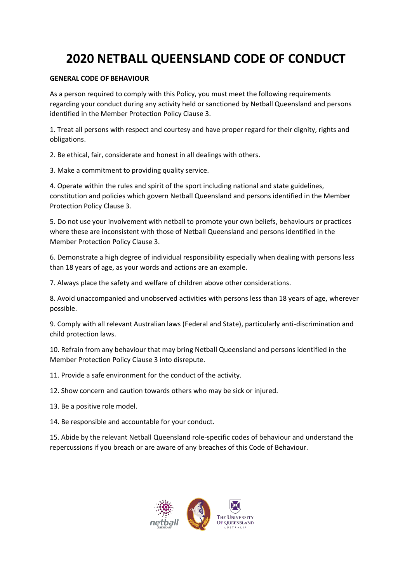## **2020 NETBALL QUEENSLAND CODE OF CONDUCT**

## **GENERAL CODE OF BEHAVIOUR**

As a person required to comply with this Policy, you must meet the following requirements regarding your conduct during any activity held or sanctioned by Netball Queensland and persons identified in the Member Protection Policy Clause 3.

1. Treat all persons with respect and courtesy and have proper regard for their dignity, rights and obligations.

2. Be ethical, fair, considerate and honest in all dealings with others.

3. Make a commitment to providing quality service.

4. Operate within the rules and spirit of the sport including national and state guidelines, constitution and policies which govern Netball Queensland and persons identified in the Member Protection Policy Clause 3.

5. Do not use your involvement with netball to promote your own beliefs, behaviours or practices where these are inconsistent with those of Netball Queensland and persons identified in the Member Protection Policy Clause 3.

6. Demonstrate a high degree of individual responsibility especially when dealing with persons less than 18 years of age, as your words and actions are an example.

7. Always place the safety and welfare of children above other considerations.

8. Avoid unaccompanied and unobserved activities with persons less than 18 years of age, wherever possible.

9. Comply with all relevant Australian laws (Federal and State), particularly anti-discrimination and child protection laws.

10. Refrain from any behaviour that may bring Netball Queensland and persons identified in the Member Protection Policy Clause 3 into disrepute.

11. Provide a safe environment for the conduct of the activity.

12. Show concern and caution towards others who may be sick or injured.

- 13. Be a positive role model.
- 14. Be responsible and accountable for your conduct.

15. Abide by the relevant Netball Queensland role-specific codes of behaviour and understand the repercussions if you breach or are aware of any breaches of this Code of Behaviour.